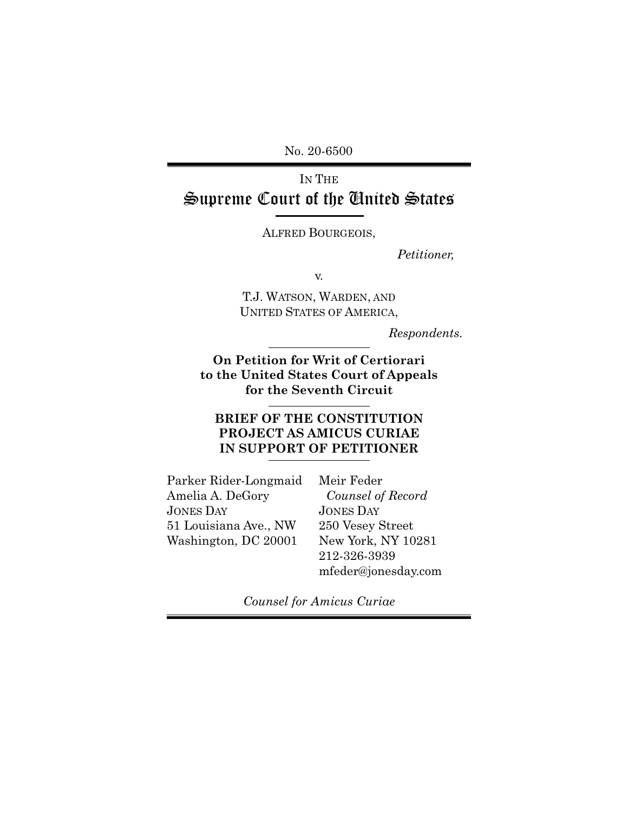No. 20-6500

# IN THE Supreme Court of the United States

ALFRED BOURGEOIS,

*Petitioner,* 

v.

T.J. WATSON, WARDEN, AND UNITED STATES OF AMERICA,

*Respondents.*

#### **On Petition for Writ of Certiorari to the United States Court of Appeals for the Seventh Circuit**

## **BRIEF OF THE CONSTITUTION PROJECT AS AMICUS CURIAE IN SUPPORT OF PETITIONER**

Parker Rider-Longmaid Amelia A. DeGory JONES DAY 51 Louisiana Ave., NW Washington, DC 20001

Meir Feder *Counsel of Record*  JONES DAY 250 Vesey Street New York, NY 10281 212-326-3939 mfeder@jonesday.com

*Counsel for Amicus Curiae*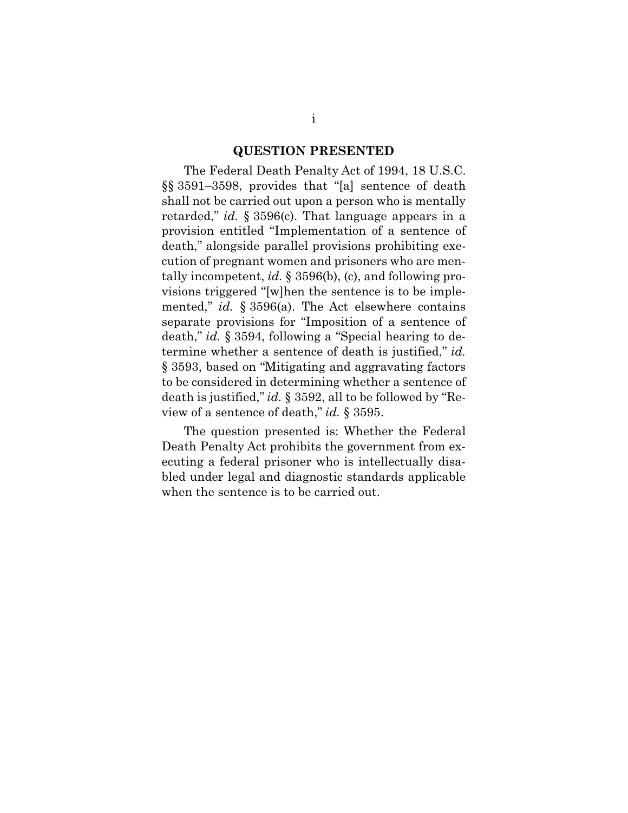#### **QUESTION PRESENTED**

The Federal Death Penalty Act of 1994, 18 U.S.C. §§ 3591–3598, provides that "[a] sentence of death shall not be carried out upon a person who is mentally retarded," *id.* § 3596(c). That language appears in a provision entitled "Implementation of a sentence of death," alongside parallel provisions prohibiting execution of pregnant women and prisoners who are mentally incompetent, *id.* § 3596(b), (c), and following provisions triggered "[w]hen the sentence is to be implemented," *id.* § 3596(a). The Act elsewhere contains separate provisions for "Imposition of a sentence of death," *id.* § 3594, following a "Special hearing to determine whether a sentence of death is justified," *id.* § 3593, based on "Mitigating and aggravating factors to be considered in determining whether a sentence of death is justified," *id.* § 3592, all to be followed by "Review of a sentence of death," *id.* § 3595.

The question presented is: Whether the Federal Death Penalty Act prohibits the government from executing a federal prisoner who is intellectually disabled under legal and diagnostic standards applicable when the sentence is to be carried out.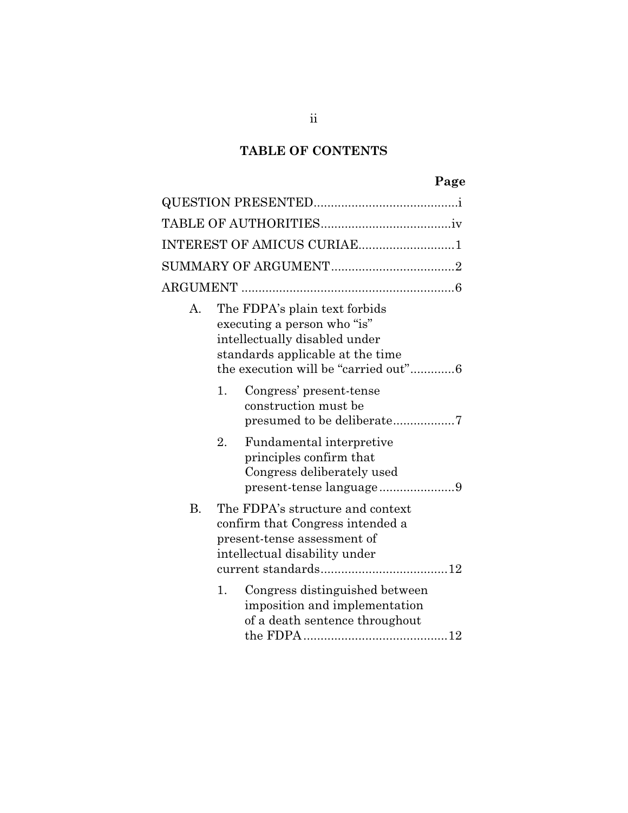# **TABLE OF CONTENTS**

# **Page**

| INTEREST OF AMICUS CURIAE1 |                                                                                                                                                                           |  |  |  |
|----------------------------|---------------------------------------------------------------------------------------------------------------------------------------------------------------------------|--|--|--|
|                            |                                                                                                                                                                           |  |  |  |
|                            |                                                                                                                                                                           |  |  |  |
| А.                         | The FDPA's plain text forbids<br>executing a person who "is"<br>intellectually disabled under<br>standards applicable at the time<br>the execution will be "carried out"6 |  |  |  |
|                            | Congress' present-tense<br>1.<br>construction must be                                                                                                                     |  |  |  |
|                            | 2.<br>Fundamental interpretive<br>principles confirm that<br>Congress deliberately used<br>present-tense language9                                                        |  |  |  |
| <b>B.</b>                  | The FDPA's structure and context<br>confirm that Congress intended a<br>present-tense assessment of<br>intellectual disability under                                      |  |  |  |
|                            | Congress distinguished between<br>1.<br>imposition and implementation<br>of a death sentence throughout                                                                   |  |  |  |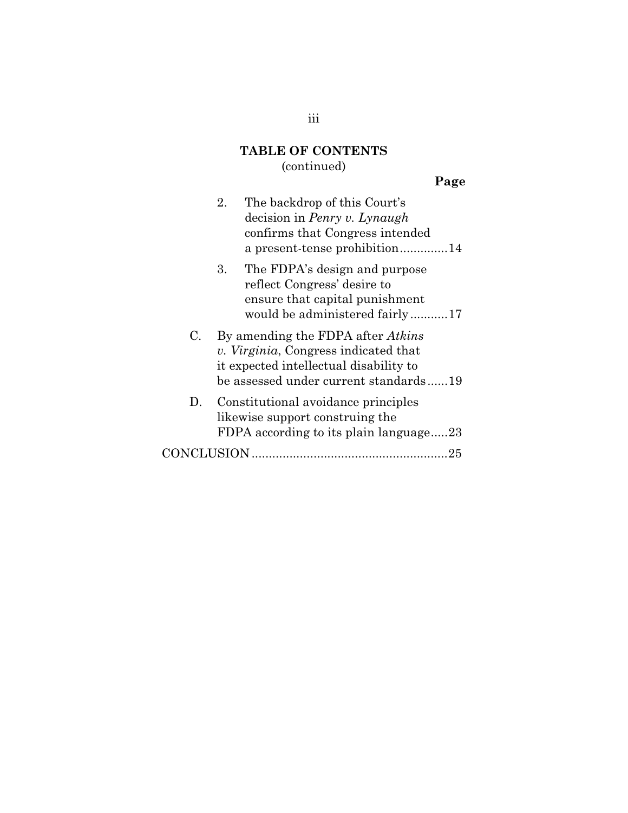## **TABLE OF CONTENTS**  (continued)

# **Page**

|    | The backdrop of this Court's<br>2.<br>decision in <i>Penry v. Lynaugh</i><br>confirms that Congress intended<br>a present-tense prohibition14                       |  |
|----|---------------------------------------------------------------------------------------------------------------------------------------------------------------------|--|
|    | 3. The FDPA's design and purpose<br>reflect Congress' desire to<br>ensure that capital punishment<br>would be administered fairly17                                 |  |
| C. | By amending the FDPA after <i>Atkins</i><br>v. Virginia, Congress indicated that<br>it expected intellectual disability to<br>be assessed under current standards19 |  |
| D. | Constitutional avoidance principles<br>likewise support construing the<br>FDPA according to its plain language23                                                    |  |
|    | 25                                                                                                                                                                  |  |

## iii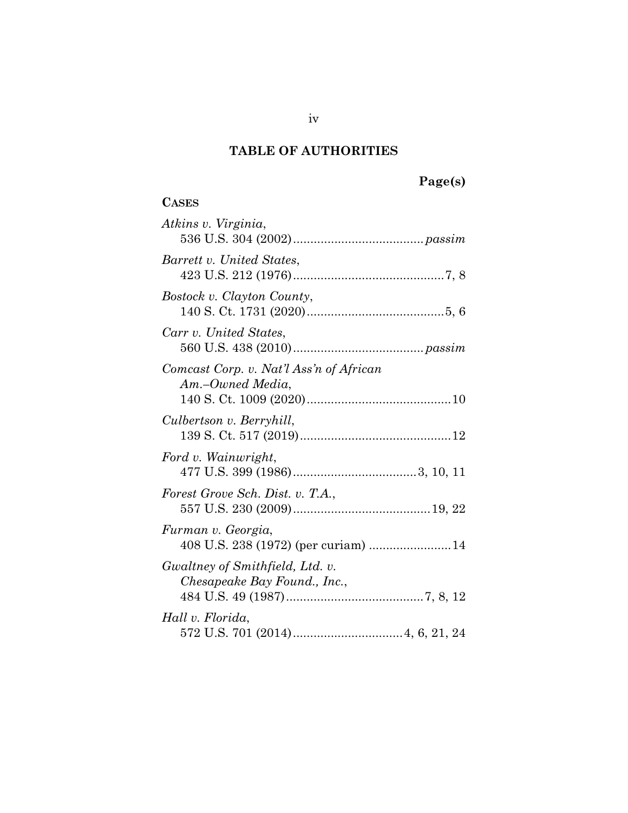# **TABLE OF AUTHORITIES**

# **Page(s)**

## **CASES**

| Atkins v. Virginia,                                             |
|-----------------------------------------------------------------|
| Barrett v. United States,                                       |
| Bostock v. Clayton County,                                      |
| Carr v. United States,                                          |
| Comcast Corp. v. Nat'l Ass'n of African<br>Am.–Owned Media,     |
| Culbertson v. Berryhill,                                        |
| Ford v. Wainwright,                                             |
| Forest Grove Sch. Dist. v. T.A.,                                |
| Furman v. Georgia,<br>408 U.S. 238 (1972) (per curiam) 14       |
| Gwaltney of Smithfield, Ltd. v.<br>Chesapeake Bay Found., Inc., |
| Hall v. Florida,                                                |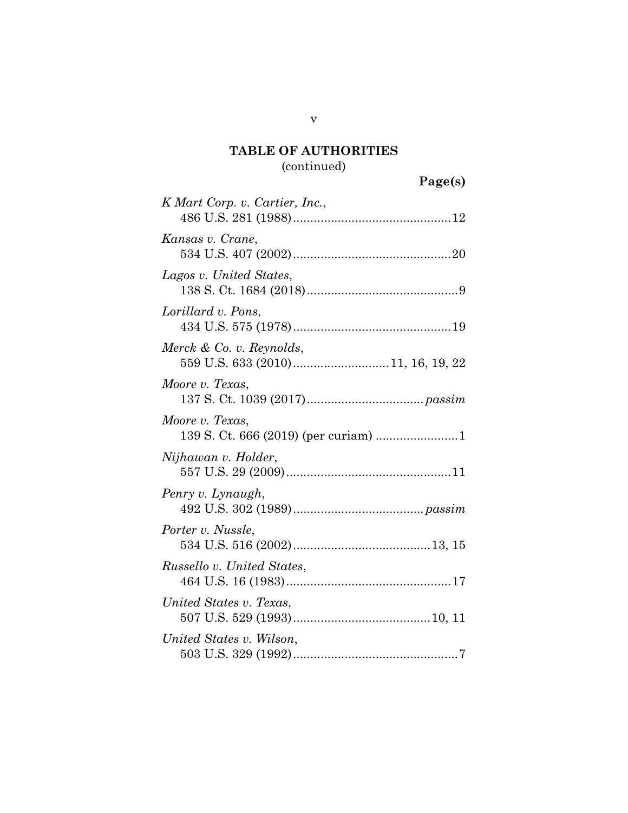## **TABLE OF AUTHORITIES**  (continued)

# **Page(s)**

| K Mart Corp. v. Cartier, Inc., |
|--------------------------------|
| Kansas v. Crane,               |
| Lagos v. United States,        |
| Lorillard v. Pons,             |
| Merck & Co. v. Reynolds,       |
| Moore v. Texas,                |
| Moore v. Texas,                |
| Nijhawan v. Holder,            |
| Penry v. Lynaugh,              |
| Porter v. Nussle,              |
| Russello v. United States,     |
| United States v. Texas,        |
| United States v. Wilson,       |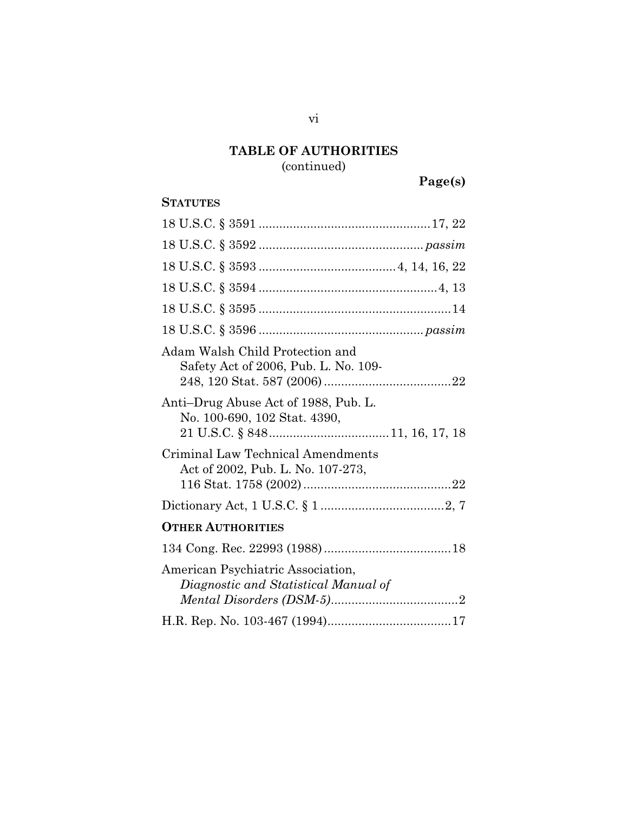# **TABLE OF AUTHORITIES**

(continued)

**Page(s)** 

## **STATUTES**

| Adam Walsh Child Protection and<br>Safety Act of 2006, Pub. L. No. 109-   |
|---------------------------------------------------------------------------|
| Anti-Drug Abuse Act of 1988, Pub. L.<br>No. 100-690, 102 Stat. 4390,      |
| Criminal Law Technical Amendments<br>Act of 2002, Pub. L. No. 107-273,    |
|                                                                           |
| <b>OTHER AUTHORITIES</b>                                                  |
|                                                                           |
| American Psychiatric Association,<br>Diagnostic and Statistical Manual of |
|                                                                           |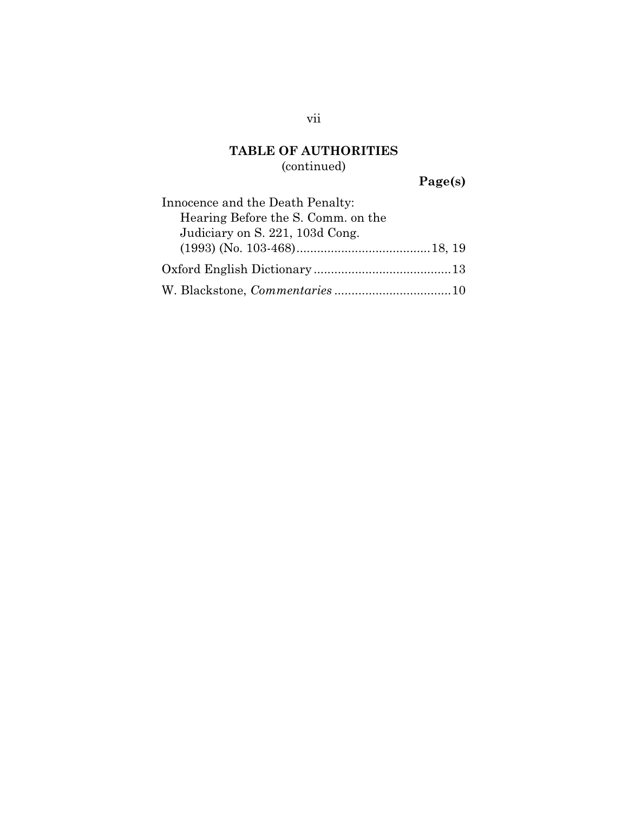## **TABLE OF AUTHORITIES**  (continued)

**Page(s)** 

| Innocence and the Death Penalty:   |
|------------------------------------|
| Hearing Before the S. Comm. on the |
| Judiciary on S. 221, 103d Cong.    |
|                                    |
|                                    |
|                                    |

vii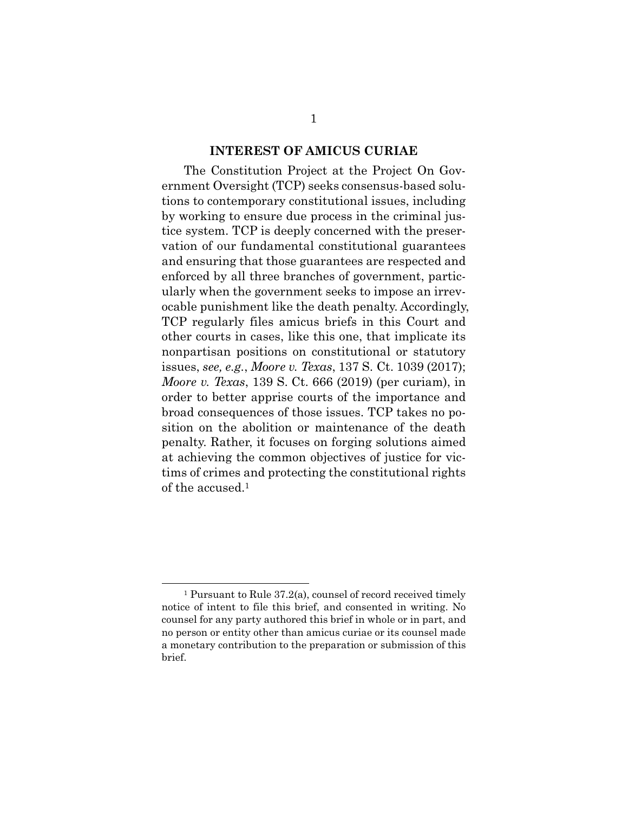#### **INTEREST OF AMICUS CURIAE**

The Constitution Project at the Project On Government Oversight (TCP) seeks consensus-based solutions to contemporary constitutional issues, including by working to ensure due process in the criminal justice system. TCP is deeply concerned with the preservation of our fundamental constitutional guarantees and ensuring that those guarantees are respected and enforced by all three branches of government, particularly when the government seeks to impose an irrevocable punishment like the death penalty. Accordingly, TCP regularly files amicus briefs in this Court and other courts in cases, like this one, that implicate its nonpartisan positions on constitutional or statutory issues, *see, e.g.*, *Moore v. Texas*, 137 S. Ct. 1039 (2017); *Moore v. Texas*, 139 S. Ct. 666 (2019) (per curiam), in order to better apprise courts of the importance and broad consequences of those issues. TCP takes no position on the abolition or maintenance of the death penalty. Rather, it focuses on forging solutions aimed at achieving the common objectives of justice for victims of crimes and protecting the constitutional rights of the accused.1

 <sup>1</sup> Pursuant to Rule 37.2(a), counsel of record received timely notice of intent to file this brief, and consented in writing. No counsel for any party authored this brief in whole or in part, and no person or entity other than amicus curiae or its counsel made a monetary contribution to the preparation or submission of this brief.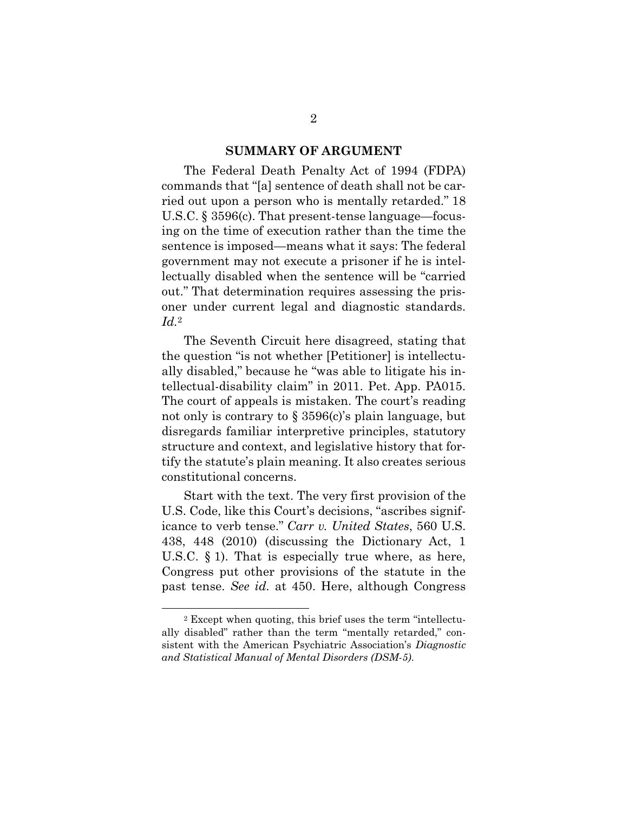#### **SUMMARY OF ARGUMENT**

The Federal Death Penalty Act of 1994 (FDPA) commands that "[a] sentence of death shall not be carried out upon a person who is mentally retarded." 18 U.S.C. § 3596(c). That present-tense language—focusing on the time of execution rather than the time the sentence is imposed—means what it says: The federal government may not execute a prisoner if he is intellectually disabled when the sentence will be "carried out." That determination requires assessing the prisoner under current legal and diagnostic standards. *Id.*2

The Seventh Circuit here disagreed, stating that the question "is not whether [Petitioner] is intellectually disabled," because he "was able to litigate his intellectual-disability claim" in 2011. Pet. App. PA015. The court of appeals is mistaken. The court's reading not only is contrary to  $\S 3596(c)$ 's plain language, but disregards familiar interpretive principles, statutory structure and context, and legislative history that fortify the statute's plain meaning. It also creates serious constitutional concerns.

Start with the text. The very first provision of the U.S. Code, like this Court's decisions, "ascribes significance to verb tense." *Carr v. United States*, 560 U.S. 438, 448 (2010) (discussing the Dictionary Act, 1 U.S.C. § 1). That is especially true where, as here, Congress put other provisions of the statute in the past tense. *See id.* at 450. Here, although Congress

 <sup>2</sup> Except when quoting, this brief uses the term "intellectually disabled" rather than the term "mentally retarded," consistent with the American Psychiatric Association's *Diagnostic and Statistical Manual of Mental Disorders (DSM-5)*.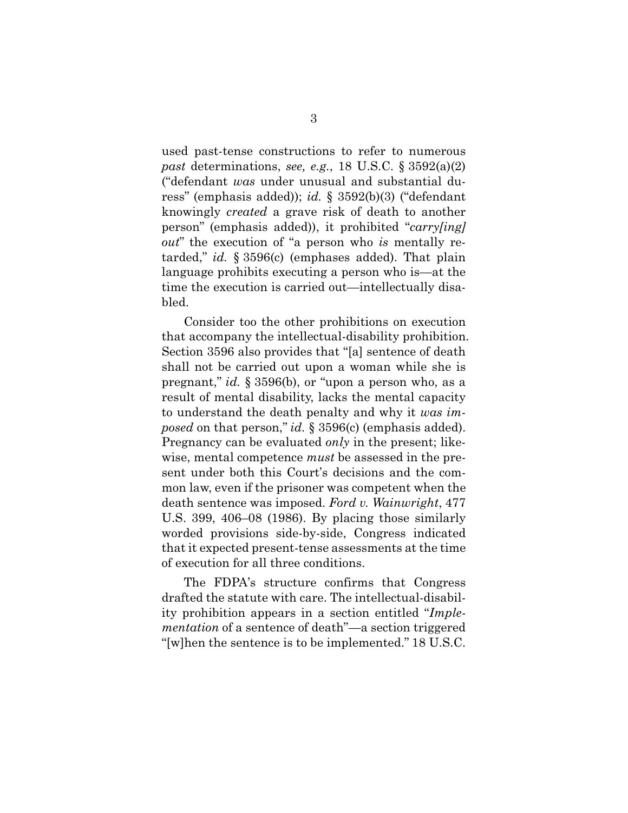used past-tense constructions to refer to numerous *past* determinations, *see, e.g.*, 18 U.S.C. § 3592(a)(2) ("defendant *was* under unusual and substantial duress" (emphasis added)); *id.* § 3592(b)(3) ("defendant knowingly *created* a grave risk of death to another person" (emphasis added)), it prohibited "*carry[ing] out*" the execution of "a person who *is* mentally retarded," *id.* § 3596(c) (emphases added). That plain language prohibits executing a person who is—at the time the execution is carried out—intellectually disabled.

Consider too the other prohibitions on execution that accompany the intellectual-disability prohibition. Section 3596 also provides that "[a] sentence of death shall not be carried out upon a woman while she is pregnant," *id.* § 3596(b), or "upon a person who, as a result of mental disability, lacks the mental capacity to understand the death penalty and why it *was imposed* on that person," *id.* § 3596(c) (emphasis added). Pregnancy can be evaluated *only* in the present; likewise, mental competence *must* be assessed in the present under both this Court's decisions and the common law, even if the prisoner was competent when the death sentence was imposed. *Ford v. Wainwright*, 477 U.S. 399, 406–08 (1986). By placing those similarly worded provisions side-by-side, Congress indicated that it expected present-tense assessments at the time of execution for all three conditions.

The FDPA's structure confirms that Congress drafted the statute with care. The intellectual-disability prohibition appears in a section entitled "*Implementation* of a sentence of death"—a section triggered "[w]hen the sentence is to be implemented." 18 U.S.C.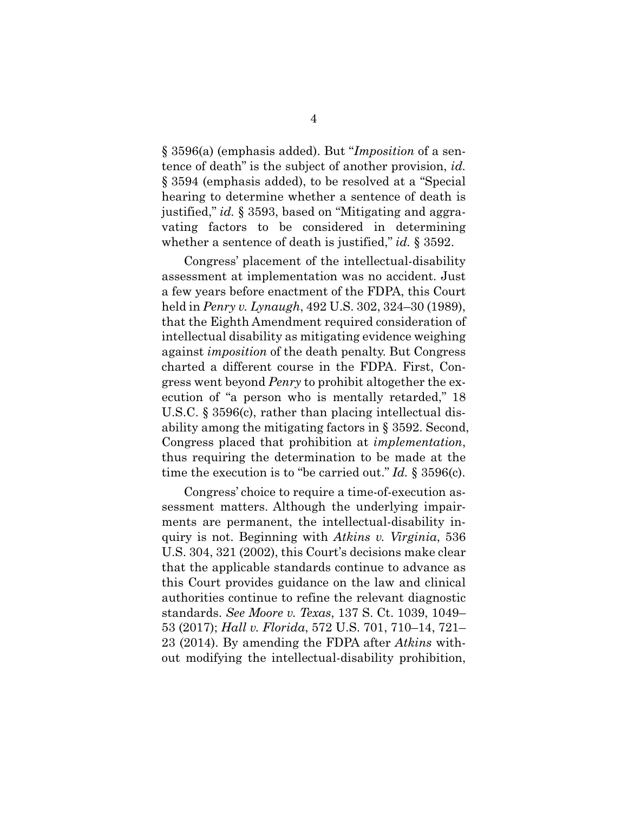§ 3596(a) (emphasis added). But "*Imposition* of a sentence of death" is the subject of another provision, *id.* § 3594 (emphasis added), to be resolved at a "Special hearing to determine whether a sentence of death is justified," *id.* § 3593, based on "Mitigating and aggravating factors to be considered in determining whether a sentence of death is justified," *id.* § 3592.

Congress' placement of the intellectual-disability assessment at implementation was no accident. Just a few years before enactment of the FDPA, this Court held in *Penry v. Lynaugh*, 492 U.S. 302, 324–30 (1989), that the Eighth Amendment required consideration of intellectual disability as mitigating evidence weighing against *imposition* of the death penalty. But Congress charted a different course in the FDPA. First, Congress went beyond *Penry* to prohibit altogether the execution of "a person who is mentally retarded," 18 U.S.C. § 3596(c), rather than placing intellectual disability among the mitigating factors in § 3592. Second, Congress placed that prohibition at *implementation*, thus requiring the determination to be made at the time the execution is to "be carried out." *Id.* § 3596(c).

Congress' choice to require a time-of-execution assessment matters. Although the underlying impairments are permanent, the intellectual-disability inquiry is not. Beginning with *Atkins v. Virginia*, 536 U.S. 304, 321 (2002), this Court's decisions make clear that the applicable standards continue to advance as this Court provides guidance on the law and clinical authorities continue to refine the relevant diagnostic standards. *See Moore v. Texas*, 137 S. Ct. 1039, 1049– 53 (2017); *Hall v. Florida*, 572 U.S. 701, 710–14, 721– 23 (2014). By amending the FDPA after *Atkins* without modifying the intellectual-disability prohibition,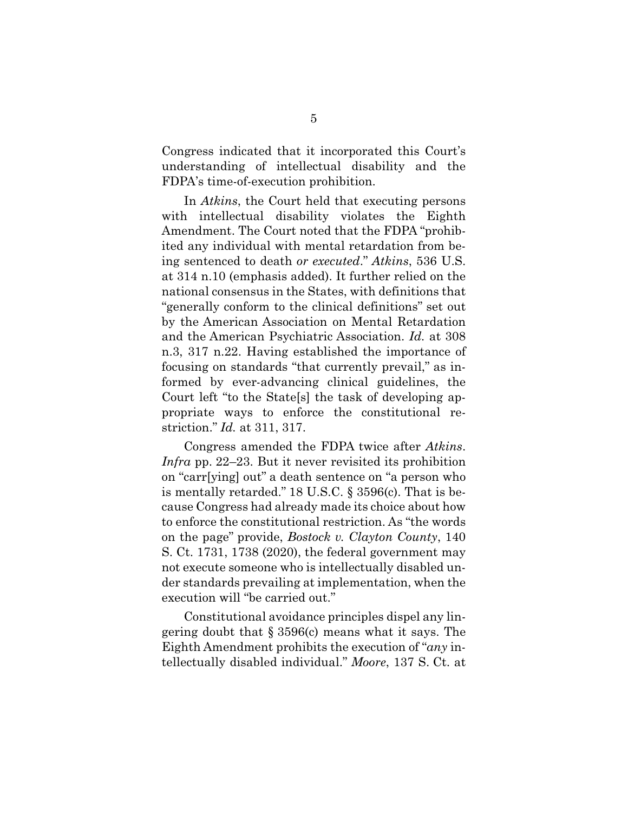Congress indicated that it incorporated this Court's understanding of intellectual disability and the FDPA's time-of-execution prohibition.

In *Atkins*, the Court held that executing persons with intellectual disability violates the Eighth Amendment. The Court noted that the FDPA "prohibited any individual with mental retardation from being sentenced to death *or executed*." *Atkins*, 536 U.S. at 314 n.10 (emphasis added). It further relied on the national consensus in the States, with definitions that "generally conform to the clinical definitions" set out by the American Association on Mental Retardation and the American Psychiatric Association. *Id.* at 308 n.3, 317 n.22. Having established the importance of focusing on standards "that currently prevail," as informed by ever-advancing clinical guidelines, the Court left "to the State[s] the task of developing appropriate ways to enforce the constitutional restriction." *Id.* at 311, 317.

Congress amended the FDPA twice after *Atkins*. *Infra* pp. 22–23. But it never revisited its prohibition on "carr[ying] out" a death sentence on "a person who is mentally retarded." 18 U.S.C. § 3596(c). That is because Congress had already made its choice about how to enforce the constitutional restriction. As "the words on the page" provide, *Bostock v. Clayton County*, 140 S. Ct. 1731, 1738 (2020), the federal government may not execute someone who is intellectually disabled under standards prevailing at implementation, when the execution will "be carried out."

Constitutional avoidance principles dispel any lingering doubt that § 3596(c) means what it says. The Eighth Amendment prohibits the execution of "*any* intellectually disabled individual." *Moore*, 137 S. Ct. at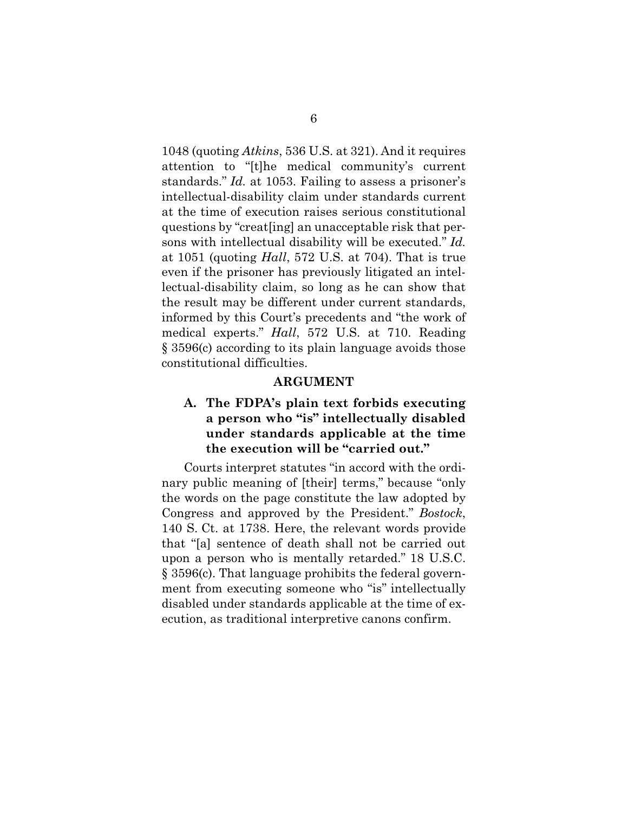1048 (quoting *Atkins*, 536 U.S. at 321). And it requires attention to "[t]he medical community's current standards." *Id.* at 1053. Failing to assess a prisoner's intellectual-disability claim under standards current at the time of execution raises serious constitutional questions by "creat[ing] an unacceptable risk that persons with intellectual disability will be executed." *Id.* at 1051 (quoting *Hall*, 572 U.S. at 704). That is true even if the prisoner has previously litigated an intellectual-disability claim, so long as he can show that the result may be different under current standards, informed by this Court's precedents and "the work of medical experts." *Hall*, 572 U.S. at 710. Reading § 3596(c) according to its plain language avoids those constitutional difficulties.

#### **ARGUMENT**

#### **A. The FDPA's plain text forbids executing a person who "is" intellectually disabled under standards applicable at the time the execution will be "carried out."**

Courts interpret statutes "in accord with the ordinary public meaning of [their] terms," because "only the words on the page constitute the law adopted by Congress and approved by the President." *Bostock*, 140 S. Ct. at 1738. Here, the relevant words provide that "[a] sentence of death shall not be carried out upon a person who is mentally retarded." 18 U.S.C. § 3596(c). That language prohibits the federal government from executing someone who "is" intellectually disabled under standards applicable at the time of execution, as traditional interpretive canons confirm.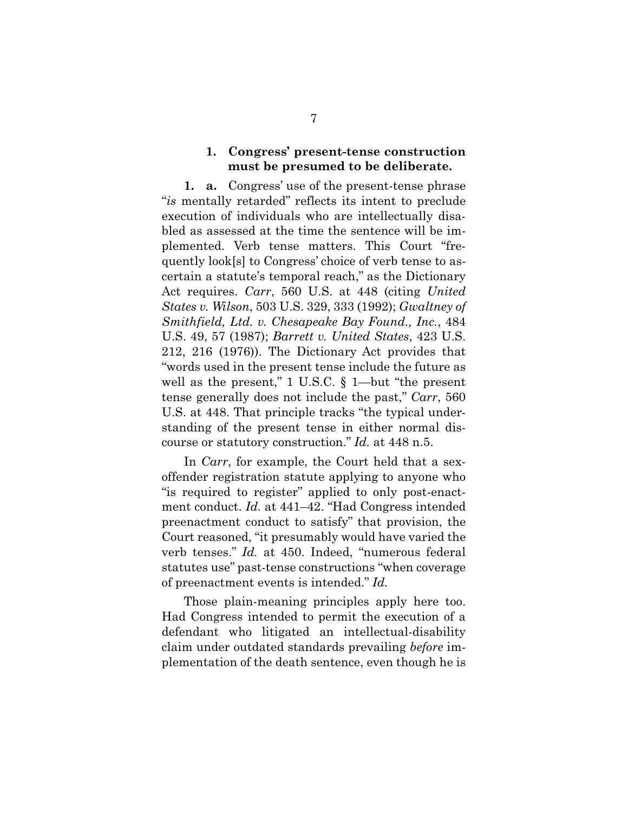#### **1. Congress' present-tense construction must be presumed to be deliberate.**

**1. a.** Congress' use of the present-tense phrase "*is* mentally retarded" reflects its intent to preclude execution of individuals who are intellectually disabled as assessed at the time the sentence will be implemented. Verb tense matters. This Court "frequently look[s] to Congress' choice of verb tense to ascertain a statute's temporal reach," as the Dictionary Act requires. *Carr*, 560 U.S. at 448 (citing *United States v. Wilson*, 503 U.S. 329, 333 (1992); *Gwaltney of Smithfield, Ltd. v. Chesapeake Bay Found., Inc.*, 484 U.S. 49, 57 (1987); *Barrett v. United States*, 423 U.S. 212, 216 (1976)). The Dictionary Act provides that "words used in the present tense include the future as well as the present," 1 U.S.C. § 1—but "the present tense generally does not include the past," *Carr*, 560 U.S. at 448. That principle tracks "the typical understanding of the present tense in either normal discourse or statutory construction." *Id.* at 448 n.5.

In *Carr*, for example, the Court held that a sexoffender registration statute applying to anyone who "is required to register" applied to only post-enactment conduct. *Id.* at 441–42. "Had Congress intended preenactment conduct to satisfy" that provision, the Court reasoned, "it presumably would have varied the verb tenses." *Id.* at 450. Indeed, "numerous federal statutes use" past-tense constructions "when coverage of preenactment events is intended." *Id.* 

Those plain-meaning principles apply here too. Had Congress intended to permit the execution of a defendant who litigated an intellectual-disability claim under outdated standards prevailing *before* implementation of the death sentence, even though he is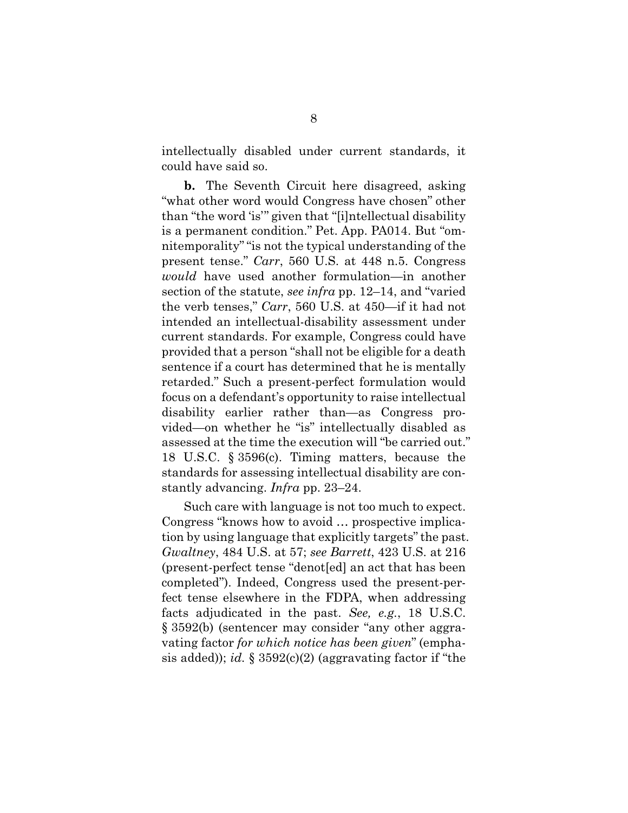intellectually disabled under current standards, it could have said so.

**b.** The Seventh Circuit here disagreed, asking "what other word would Congress have chosen" other than "the word 'is'" given that "[i]ntellectual disability is a permanent condition." Pet. App. PA014. But "omnitemporality" "is not the typical understanding of the present tense." *Carr*, 560 U.S. at 448 n.5. Congress *would* have used another formulation—in another section of the statute, *see infra* pp. 12–14, and "varied the verb tenses," *Carr*, 560 U.S. at 450—if it had not intended an intellectual-disability assessment under current standards. For example, Congress could have provided that a person "shall not be eligible for a death sentence if a court has determined that he is mentally retarded." Such a present-perfect formulation would focus on a defendant's opportunity to raise intellectual disability earlier rather than—as Congress provided—on whether he "is" intellectually disabled as assessed at the time the execution will "be carried out." 18 U.S.C. § 3596(c). Timing matters, because the standards for assessing intellectual disability are constantly advancing. *Infra* pp. 23–24.

Such care with language is not too much to expect. Congress "knows how to avoid … prospective implication by using language that explicitly targets" the past. *Gwaltney*, 484 U.S. at 57; *see Barrett*, 423 U.S. at 216 (present-perfect tense "denot[ed] an act that has been completed"). Indeed, Congress used the present-perfect tense elsewhere in the FDPA, when addressing facts adjudicated in the past. *See, e.g.*, 18 U.S.C. § 3592(b) (sentencer may consider "any other aggravating factor *for which notice has been given*" (emphasis added)); *id.* § 3592(c)(2) (aggravating factor if "the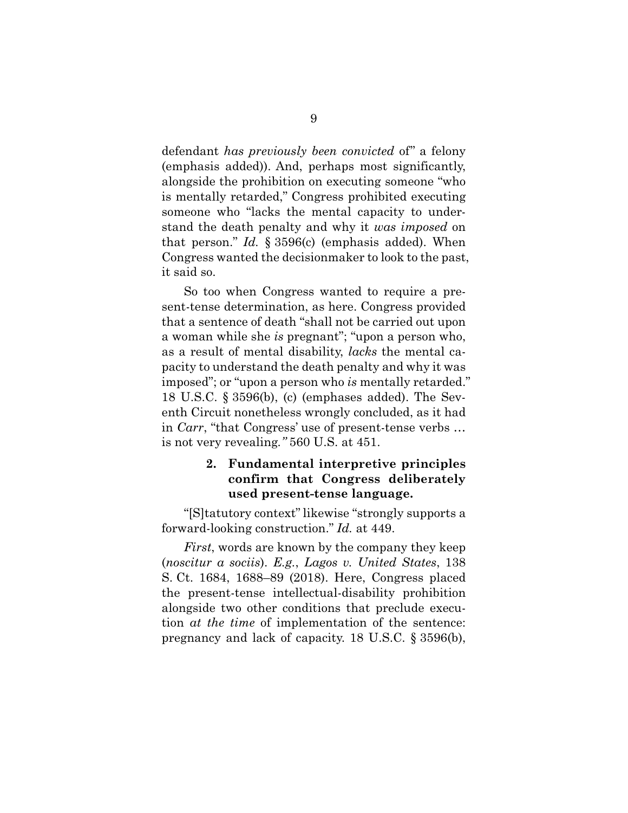defendant *has previously been convicted* of" a felony (emphasis added)). And, perhaps most significantly, alongside the prohibition on executing someone "who is mentally retarded," Congress prohibited executing someone who "lacks the mental capacity to understand the death penalty and why it *was imposed* on that person." *Id.* § 3596(c) (emphasis added). When Congress wanted the decisionmaker to look to the past, it said so.

So too when Congress wanted to require a present-tense determination, as here. Congress provided that a sentence of death "shall not be carried out upon a woman while she *is* pregnant"; "upon a person who, as a result of mental disability, *lacks* the mental capacity to understand the death penalty and why it was imposed"; or "upon a person who *is* mentally retarded." 18 U.S.C. § 3596(b), (c) (emphases added). The Seventh Circuit nonetheless wrongly concluded, as it had in *Carr*, "that Congress' use of present-tense verbs … is not very revealing*."* 560 U.S. at 451.

#### **2. Fundamental interpretive principles confirm that Congress deliberately used present-tense language.**

"[S]tatutory context" likewise "strongly supports a forward-looking construction." *Id.* at 449.

*First*, words are known by the company they keep (*noscitur a sociis*). *E.g.*, *Lagos v. United States*, 138 S. Ct. 1684, 1688–89 (2018). Here, Congress placed the present-tense intellectual-disability prohibition alongside two other conditions that preclude execution *at the time* of implementation of the sentence: pregnancy and lack of capacity. 18 U.S.C. § 3596(b),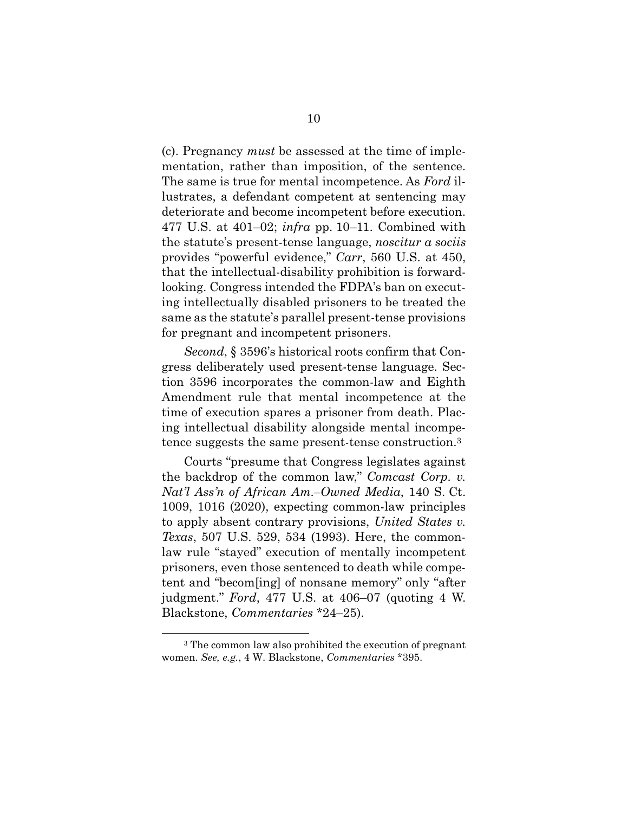(c). Pregnancy *must* be assessed at the time of implementation, rather than imposition, of the sentence. The same is true for mental incompetence. As *Ford* illustrates, a defendant competent at sentencing may deteriorate and become incompetent before execution. 477 U.S. at 401–02; *infra* pp. 10–11. Combined with the statute's present-tense language, *noscitur a sociis* provides "powerful evidence," *Carr*, 560 U.S. at 450, that the intellectual-disability prohibition is forwardlooking. Congress intended the FDPA's ban on executing intellectually disabled prisoners to be treated the same as the statute's parallel present-tense provisions for pregnant and incompetent prisoners.

*Second*, § 3596's historical roots confirm that Congress deliberately used present-tense language. Section 3596 incorporates the common-law and Eighth Amendment rule that mental incompetence at the time of execution spares a prisoner from death. Placing intellectual disability alongside mental incompetence suggests the same present-tense construction.3

Courts "presume that Congress legislates against the backdrop of the common law," *Comcast Corp. v. Nat'l Ass'n of African Am.–Owned Media*, 140 S. Ct. 1009, 1016 (2020), expecting common-law principles to apply absent contrary provisions, *United States v. Texas*, 507 U.S. 529, 534 (1993). Here, the commonlaw rule "stayed" execution of mentally incompetent prisoners, even those sentenced to death while competent and "becom[ing] of nonsane memory" only "after judgment." *Ford*, 477 U.S. at 406–07 (quoting 4 W. Blackstone, *Commentaries* \*24–25).

 <sup>3</sup> The common law also prohibited the execution of pregnant women. *See, e.g.*, 4 W. Blackstone, *Commentaries* \*395.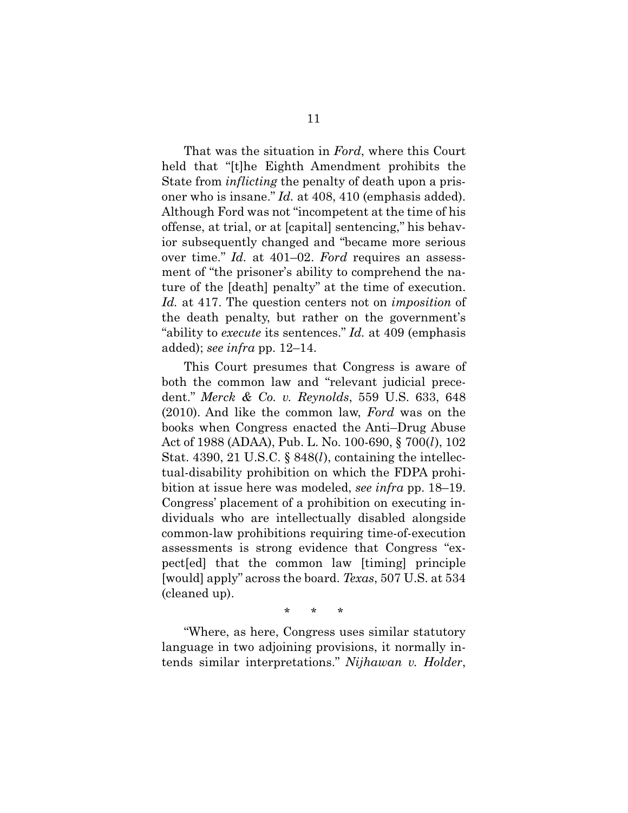That was the situation in *Ford*, where this Court held that "[t]he Eighth Amendment prohibits the State from *inflicting* the penalty of death upon a prisoner who is insane." *Id.* at 408, 410 (emphasis added). Although Ford was not "incompetent at the time of his offense, at trial, or at [capital] sentencing," his behavior subsequently changed and "became more serious over time." *Id.* at 401–02. *Ford* requires an assessment of "the prisoner's ability to comprehend the nature of the [death] penalty" at the time of execution. *Id.* at 417. The question centers not on *imposition* of the death penalty, but rather on the government's "ability to *execute* its sentences." *Id.* at 409 (emphasis added); *see infra* pp. 12–14.

This Court presumes that Congress is aware of both the common law and "relevant judicial precedent." *Merck & Co. v. Reynolds*, 559 U.S. 633, 648 (2010). And like the common law, *Ford* was on the books when Congress enacted the Anti–Drug Abuse Act of 1988 (ADAA), Pub. L. No. 100-690, § 700(*l*), 102 Stat. 4390, 21 U.S.C. § 848(*l*), containing the intellectual-disability prohibition on which the FDPA prohibition at issue here was modeled, *see infra* pp. 18–19. Congress' placement of a prohibition on executing individuals who are intellectually disabled alongside common-law prohibitions requiring time-of-execution assessments is strong evidence that Congress "expect[ed] that the common law [timing] principle [would] apply" across the board. *Texas*, 507 U.S. at 534 (cleaned up).

\* \* \*

"Where, as here, Congress uses similar statutory language in two adjoining provisions, it normally intends similar interpretations." *Nijhawan v. Holder*,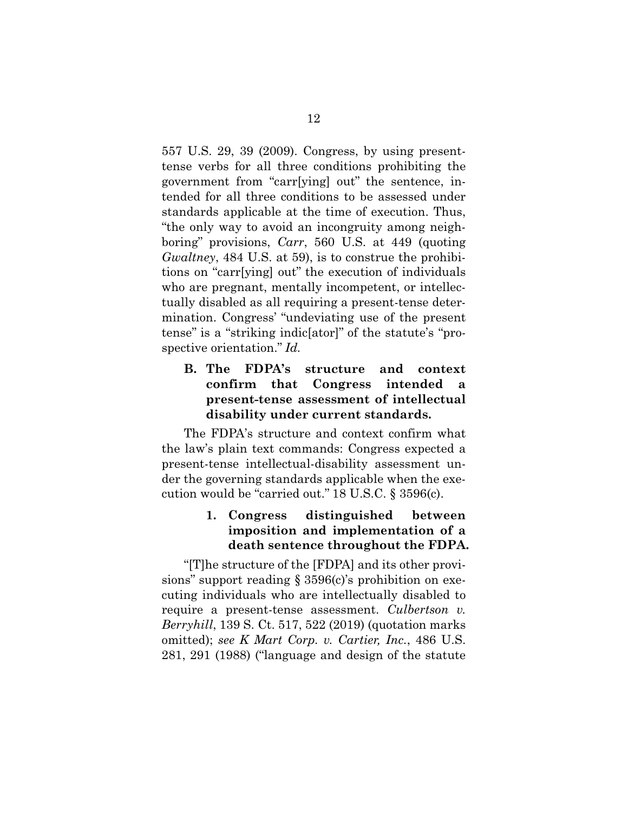557 U.S. 29, 39 (2009). Congress, by using presenttense verbs for all three conditions prohibiting the government from "carr[ying] out" the sentence, intended for all three conditions to be assessed under standards applicable at the time of execution. Thus, "the only way to avoid an incongruity among neighboring" provisions, *Carr*, 560 U.S. at 449 (quoting *Gwaltney*, 484 U.S. at 59), is to construe the prohibitions on "carr[ying] out" the execution of individuals who are pregnant, mentally incompetent, or intellectually disabled as all requiring a present-tense determination. Congress' "undeviating use of the present tense" is a "striking indic[ator]" of the statute's "prospective orientation." *Id.*

#### **B. The FDPA's structure and context confirm that Congress intended a present-tense assessment of intellectual disability under current standards.**

The FDPA's structure and context confirm what the law's plain text commands: Congress expected a present-tense intellectual-disability assessment under the governing standards applicable when the execution would be "carried out." 18 U.S.C. § 3596(c).

#### **1. Congress distinguished between imposition and implementation of a death sentence throughout the FDPA.**

"[T]he structure of the [FDPA] and its other provisions" support reading § 3596(c)'s prohibition on executing individuals who are intellectually disabled to require a present-tense assessment. *Culbertson v. Berryhill*, 139 S. Ct. 517, 522 (2019) (quotation marks omitted); *see K Mart Corp. v. Cartier, Inc.*, 486 U.S. 281, 291 (1988) ("language and design of the statute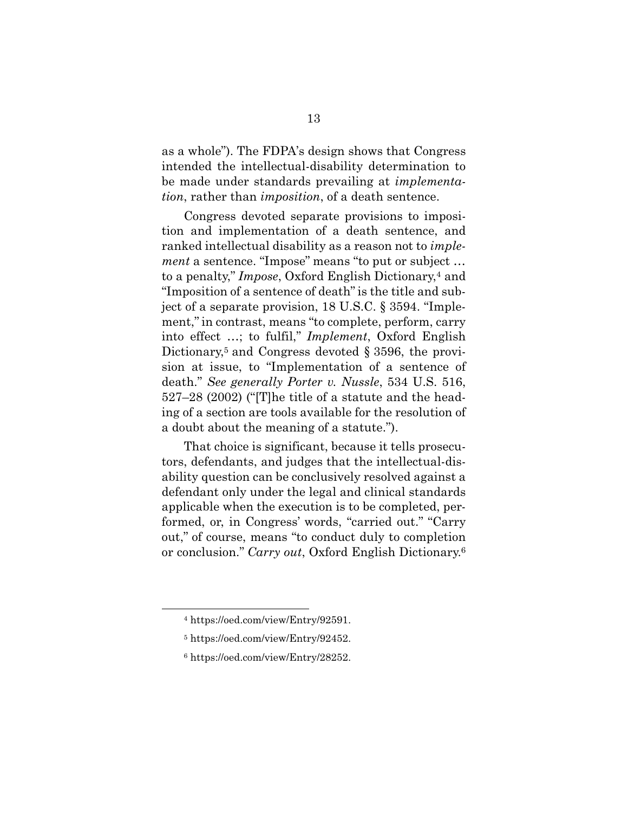as a whole"). The FDPA's design shows that Congress intended the intellectual-disability determination to be made under standards prevailing at *implementation*, rather than *imposition*, of a death sentence.

Congress devoted separate provisions to imposition and implementation of a death sentence, and ranked intellectual disability as a reason not to *implement* a sentence. "Impose" means "to put or subject … to a penalty," *Impose*, Oxford English Dictionary,4 and "Imposition of a sentence of death" is the title and subject of a separate provision, 18 U.S.C. § 3594. "Implement," in contrast, means "to complete, perform, carry into effect …; to fulfil," *Implement*, Oxford English Dictionary,<sup>5</sup> and Congress devoted § 3596, the provision at issue, to "Implementation of a sentence of death." *See generally Porter v. Nussle*, 534 U.S. 516, 527–28 (2002) ("[T]he title of a statute and the heading of a section are tools available for the resolution of a doubt about the meaning of a statute.").

That choice is significant, because it tells prosecutors, defendants, and judges that the intellectual-disability question can be conclusively resolved against a defendant only under the legal and clinical standards applicable when the execution is to be completed, performed, or, in Congress' words, "carried out." "Carry out," of course, means "to conduct duly to completion or conclusion." *Carry out*, Oxford English Dictionary.6

 <sup>4</sup> https://oed.com/view/Entry/92591.

<sup>5</sup> https://oed.com/view/Entry/92452.

<sup>6</sup> https://oed.com/view/Entry/28252.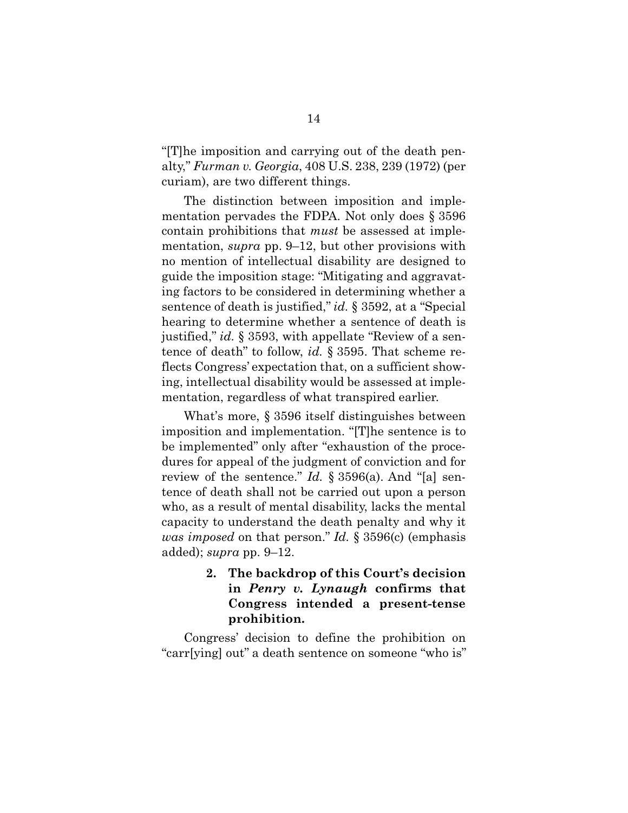"[T]he imposition and carrying out of the death penalty," *Furman v. Georgia*, 408 U.S. 238, 239 (1972) (per curiam), are two different things.

The distinction between imposition and implementation pervades the FDPA. Not only does § 3596 contain prohibitions that *must* be assessed at implementation, *supra* pp. 9–12, but other provisions with no mention of intellectual disability are designed to guide the imposition stage: "Mitigating and aggravating factors to be considered in determining whether a sentence of death is justified," *id.* § 3592, at a "Special hearing to determine whether a sentence of death is justified," *id.* § 3593, with appellate "Review of a sentence of death" to follow, *id.* § 3595. That scheme reflects Congress' expectation that, on a sufficient showing, intellectual disability would be assessed at implementation, regardless of what transpired earlier.

What's more, § 3596 itself distinguishes between imposition and implementation. "[T]he sentence is to be implemented" only after "exhaustion of the procedures for appeal of the judgment of conviction and for review of the sentence." *Id.* § 3596(a). And "[a] sentence of death shall not be carried out upon a person who, as a result of mental disability, lacks the mental capacity to understand the death penalty and why it *was imposed* on that person." *Id.* § 3596(c) (emphasis added); *supra* pp. 9–12.

> **2. The backdrop of this Court's decision in** *Penry v. Lynaugh* **confirms that Congress intended a present-tense prohibition.**

Congress' decision to define the prohibition on "carr[ying] out" a death sentence on someone "who is"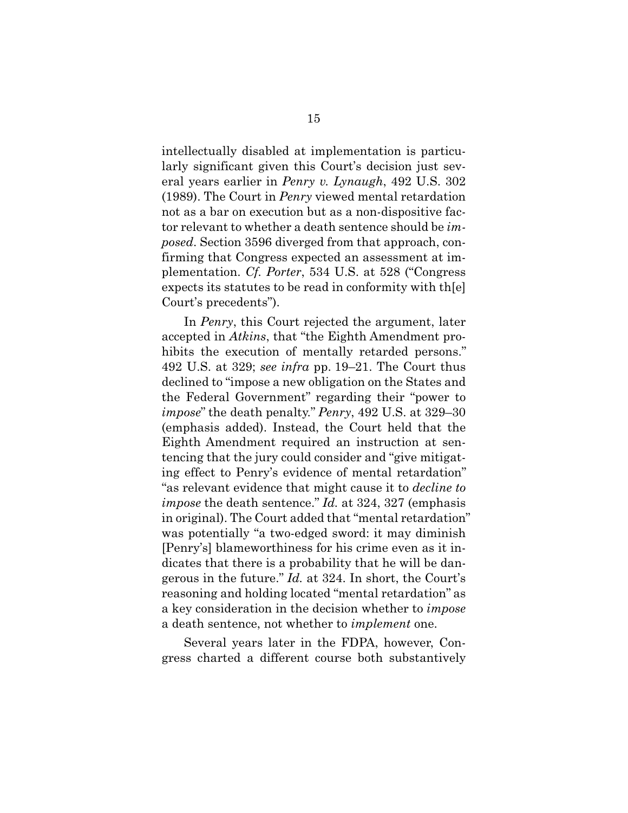intellectually disabled at implementation is particularly significant given this Court's decision just several years earlier in *Penry v. Lynaugh*, 492 U.S. 302 (1989). The Court in *Penry* viewed mental retardation not as a bar on execution but as a non-dispositive factor relevant to whether a death sentence should be *imposed*. Section 3596 diverged from that approach, confirming that Congress expected an assessment at implementation. *Cf. Porter*, 534 U.S. at 528 ("Congress expects its statutes to be read in conformity with th[e] Court's precedents").

In *Penry*, this Court rejected the argument, later accepted in *Atkins*, that "the Eighth Amendment prohibits the execution of mentally retarded persons." 492 U.S. at 329; *see infra* pp. 19–21. The Court thus declined to "impose a new obligation on the States and the Federal Government" regarding their "power to *impose*" the death penalty." *Penry*, 492 U.S. at 329–30 (emphasis added). Instead, the Court held that the Eighth Amendment required an instruction at sentencing that the jury could consider and "give mitigating effect to Penry's evidence of mental retardation" "as relevant evidence that might cause it to *decline to impose* the death sentence." *Id.* at 324, 327 (emphasis in original). The Court added that "mental retardation" was potentially "a two-edged sword: it may diminish [Penry's] blameworthiness for his crime even as it indicates that there is a probability that he will be dangerous in the future." *Id.* at 324. In short, the Court's reasoning and holding located "mental retardation" as a key consideration in the decision whether to *impose* a death sentence, not whether to *implement* one.

Several years later in the FDPA, however, Congress charted a different course both substantively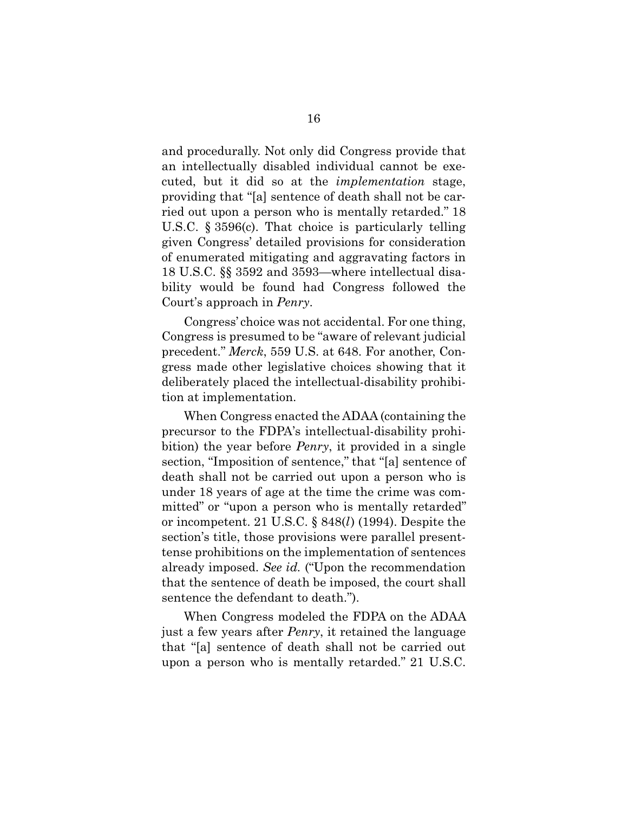and procedurally. Not only did Congress provide that an intellectually disabled individual cannot be executed, but it did so at the *implementation* stage, providing that "[a] sentence of death shall not be carried out upon a person who is mentally retarded." 18 U.S.C. § 3596(c). That choice is particularly telling given Congress' detailed provisions for consideration of enumerated mitigating and aggravating factors in 18 U.S.C. §§ 3592 and 3593—where intellectual disability would be found had Congress followed the Court's approach in *Penry*.

Congress' choice was not accidental. For one thing, Congress is presumed to be "aware of relevant judicial precedent." *Merck*, 559 U.S. at 648. For another, Congress made other legislative choices showing that it deliberately placed the intellectual-disability prohibition at implementation.

When Congress enacted the ADAA (containing the precursor to the FDPA's intellectual-disability prohibition) the year before *Penry*, it provided in a single section, "Imposition of sentence," that "[a] sentence of death shall not be carried out upon a person who is under 18 years of age at the time the crime was committed" or "upon a person who is mentally retarded" or incompetent. 21 U.S.C. § 848(*l*) (1994). Despite the section's title, those provisions were parallel presenttense prohibitions on the implementation of sentences already imposed. *See id.* ("Upon the recommendation that the sentence of death be imposed, the court shall sentence the defendant to death.").

When Congress modeled the FDPA on the ADAA just a few years after *Penry*, it retained the language that "[a] sentence of death shall not be carried out upon a person who is mentally retarded." 21 U.S.C.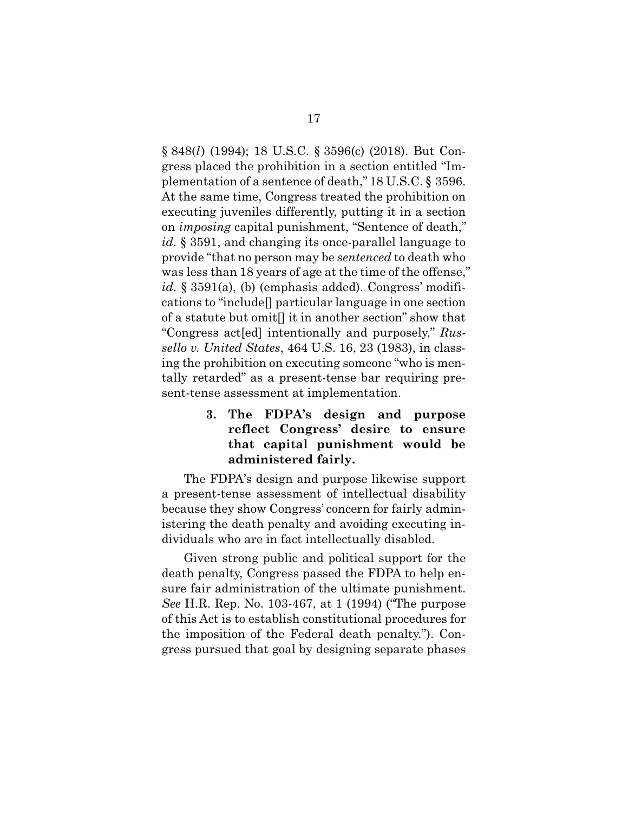§ 848(*l*) (1994); 18 U.S.C. § 3596(c) (2018). But Congress placed the prohibition in a section entitled "Implementation of a sentence of death," 18 U.S.C. § 3596. At the same time, Congress treated the prohibition on executing juveniles differently, putting it in a section on *imposing* capital punishment, "Sentence of death," *id.* § 3591, and changing its once-parallel language to provide "that no person may be *sentenced* to death who was less than 18 years of age at the time of the offense," id. § 3591(a), (b) (emphasis added). Congress' modifications to "include[] particular language in one section of a statute but omit[] it in another section" show that "Congress act[ed] intentionally and purposely," *Russello v. United States*, 464 U.S. 16, 23 (1983), in classing the prohibition on executing someone "who is mentally retarded" as a present-tense bar requiring present-tense assessment at implementation.

> **3. The FDPA's design and purpose reflect Congress' desire to ensure that capital punishment would be administered fairly.**

The FDPA's design and purpose likewise support a present-tense assessment of intellectual disability because they show Congress' concern for fairly administering the death penalty and avoiding executing individuals who are in fact intellectually disabled.

Given strong public and political support for the death penalty, Congress passed the FDPA to help ensure fair administration of the ultimate punishment. *See* H.R. Rep. No. 103-467, at 1 (1994) ("The purpose of this Act is to establish constitutional procedures for the imposition of the Federal death penalty."). Congress pursued that goal by designing separate phases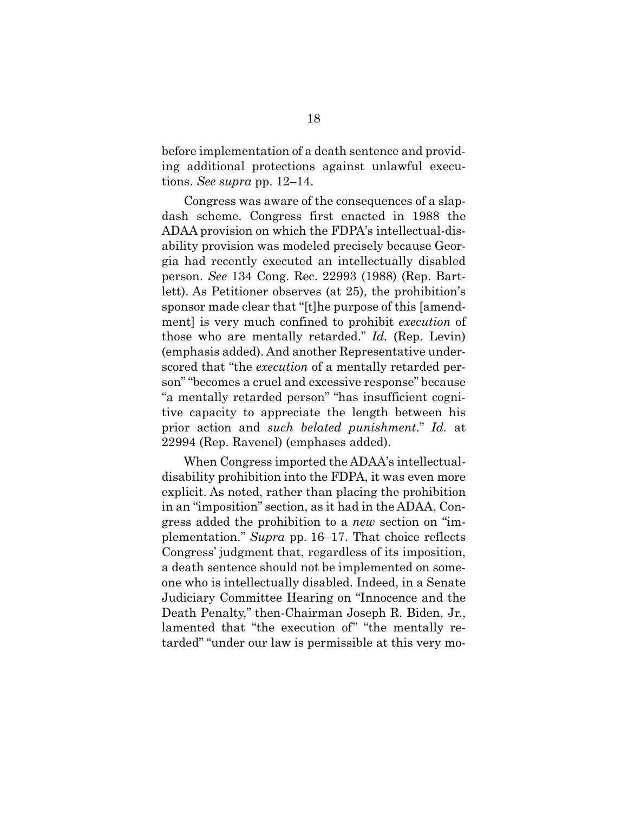before implementation of a death sentence and providing additional protections against unlawful executions. *See supra* pp. 12–14.

Congress was aware of the consequences of a slapdash scheme. Congress first enacted in 1988 the ADAA provision on which the FDPA's intellectual-disability provision was modeled precisely because Georgia had recently executed an intellectually disabled person. *See* 134 Cong. Rec. 22993 (1988) (Rep. Bartlett). As Petitioner observes (at 25), the prohibition's sponsor made clear that "[t]he purpose of this [amendment] is very much confined to prohibit *execution* of those who are mentally retarded." *Id.* (Rep. Levin) (emphasis added). And another Representative underscored that "the *execution* of a mentally retarded person" "becomes a cruel and excessive response" because "a mentally retarded person" "has insufficient cognitive capacity to appreciate the length between his prior action and *such belated punishment*." *Id.* at 22994 (Rep. Ravenel) (emphases added).

When Congress imported the ADAA's intellectualdisability prohibition into the FDPA, it was even more explicit. As noted, rather than placing the prohibition in an "imposition" section, as it had in the ADAA, Congress added the prohibition to a *new* section on "implementation." *Supra* pp. 16–17. That choice reflects Congress' judgment that, regardless of its imposition, a death sentence should not be implemented on someone who is intellectually disabled. Indeed, in a Senate Judiciary Committee Hearing on "Innocence and the Death Penalty," then-Chairman Joseph R. Biden, Jr., lamented that "the execution of" "the mentally retarded" "under our law is permissible at this very mo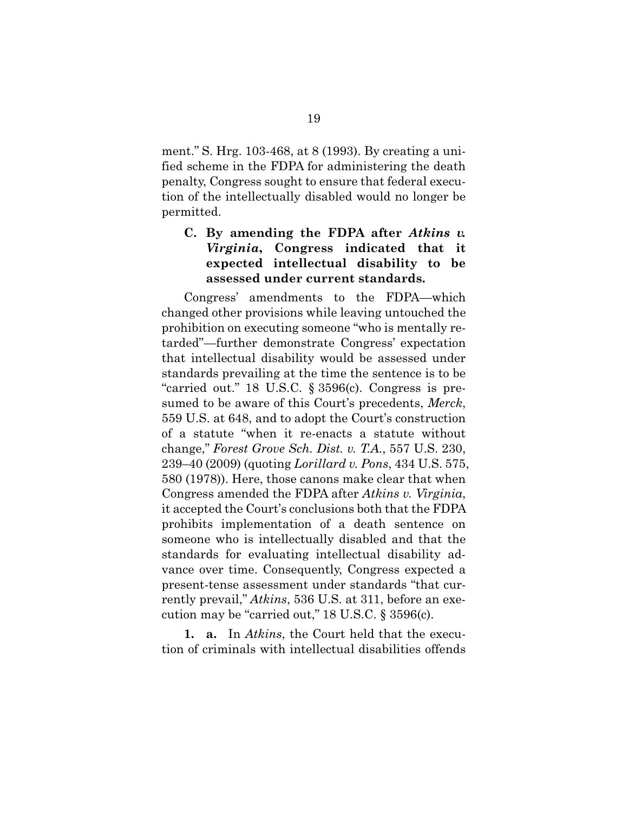ment." S. Hrg. 103-468, at 8 (1993). By creating a unified scheme in the FDPA for administering the death penalty, Congress sought to ensure that federal execution of the intellectually disabled would no longer be permitted.

#### **C. By amending the FDPA after** *Atkins v. Virginia***, Congress indicated that it expected intellectual disability to be assessed under current standards.**

Congress' amendments to the FDPA—which changed other provisions while leaving untouched the prohibition on executing someone "who is mentally retarded"—further demonstrate Congress' expectation that intellectual disability would be assessed under standards prevailing at the time the sentence is to be "carried out." 18 U.S.C. § 3596(c). Congress is presumed to be aware of this Court's precedents, *Merck*, 559 U.S. at 648, and to adopt the Court's construction of a statute "when it re-enacts a statute without change," *Forest Grove Sch. Dist. v. T.A.*, 557 U.S. 230, 239–40 (2009) (quoting *Lorillard v. Pons*, 434 U.S. 575, 580 (1978)). Here, those canons make clear that when Congress amended the FDPA after *Atkins v. Virginia*, it accepted the Court's conclusions both that the FDPA prohibits implementation of a death sentence on someone who is intellectually disabled and that the standards for evaluating intellectual disability advance over time. Consequently, Congress expected a present-tense assessment under standards "that currently prevail," *Atkins*, 536 U.S. at 311, before an execution may be "carried out," 18 U.S.C. § 3596(c).

**1. a.** In *Atkins*, the Court held that the execution of criminals with intellectual disabilities offends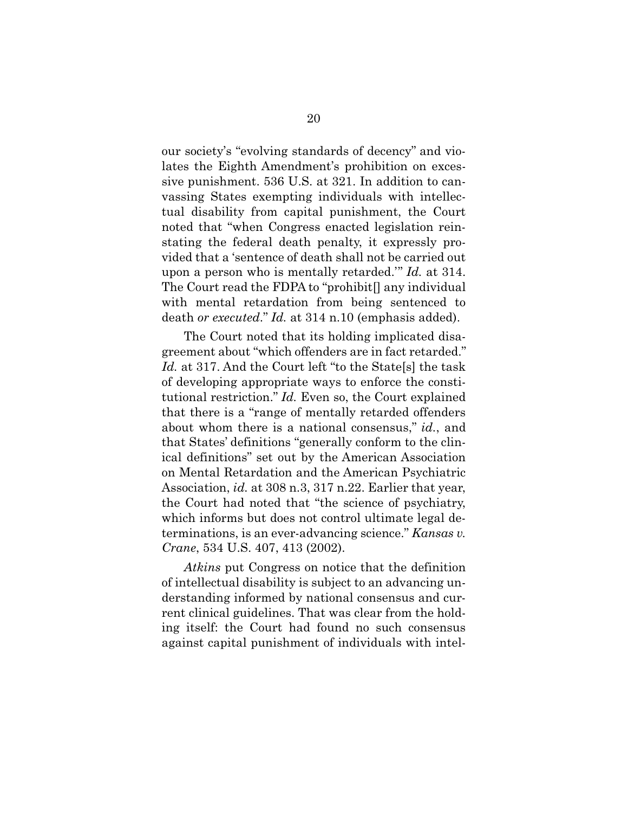our society's "evolving standards of decency" and violates the Eighth Amendment's prohibition on excessive punishment. 536 U.S. at 321. In addition to canvassing States exempting individuals with intellectual disability from capital punishment, the Court noted that "when Congress enacted legislation reinstating the federal death penalty, it expressly provided that a 'sentence of death shall not be carried out upon a person who is mentally retarded.'" *Id.* at 314. The Court read the FDPA to "prohibit[] any individual with mental retardation from being sentenced to death *or executed*." *Id.* at 314 n.10 (emphasis added).

The Court noted that its holding implicated disagreement about "which offenders are in fact retarded." *Id.* at 317. And the Court left "to the State[s] the task of developing appropriate ways to enforce the constitutional restriction." *Id.* Even so, the Court explained that there is a "range of mentally retarded offenders about whom there is a national consensus," *id.*, and that States' definitions "generally conform to the clinical definitions" set out by the American Association on Mental Retardation and the American Psychiatric Association, *id.* at 308 n.3, 317 n.22. Earlier that year, the Court had noted that "the science of psychiatry, which informs but does not control ultimate legal determinations, is an ever-advancing science." *Kansas v. Crane*, 534 U.S. 407, 413 (2002).

*Atkins* put Congress on notice that the definition of intellectual disability is subject to an advancing understanding informed by national consensus and current clinical guidelines. That was clear from the holding itself: the Court had found no such consensus against capital punishment of individuals with intel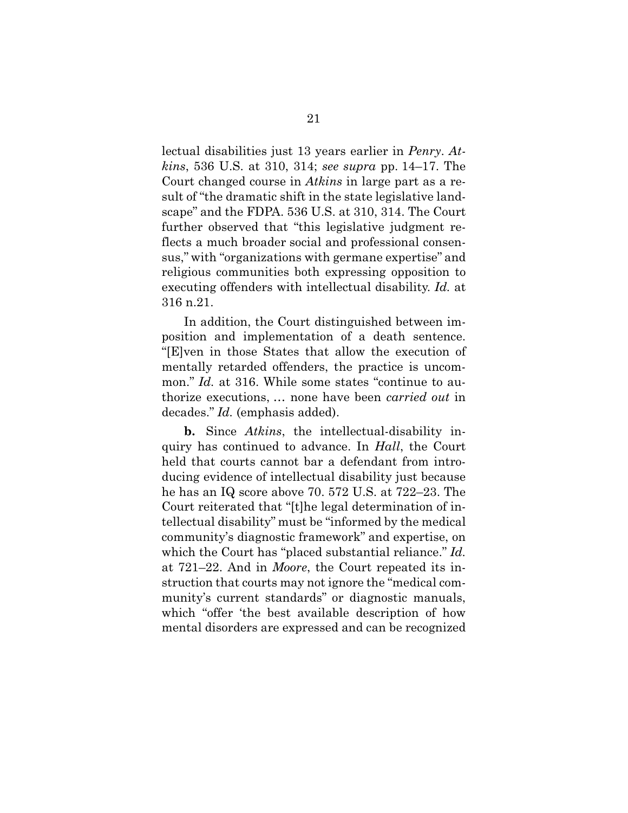lectual disabilities just 13 years earlier in *Penry*. *Atkins*, 536 U.S. at 310, 314; *see supra* pp. 14–17. The Court changed course in *Atkins* in large part as a result of "the dramatic shift in the state legislative landscape" and the FDPA. 536 U.S. at 310, 314. The Court further observed that "this legislative judgment reflects a much broader social and professional consensus," with "organizations with germane expertise" and religious communities both expressing opposition to executing offenders with intellectual disability. *Id.* at 316 n.21.

In addition, the Court distinguished between imposition and implementation of a death sentence. "[E]ven in those States that allow the execution of mentally retarded offenders, the practice is uncommon." *Id.* at 316. While some states "continue to authorize executions, … none have been *carried out* in decades." *Id.* (emphasis added).

**b.** Since *Atkins*, the intellectual-disability inquiry has continued to advance. In *Hall*, the Court held that courts cannot bar a defendant from introducing evidence of intellectual disability just because he has an IQ score above 70. 572 U.S. at 722–23. The Court reiterated that "[t]he legal determination of intellectual disability" must be "informed by the medical community's diagnostic framework" and expertise, on which the Court has "placed substantial reliance." *Id.* at 721–22. And in *Moore*, the Court repeated its instruction that courts may not ignore the "medical community's current standards" or diagnostic manuals, which "offer 'the best available description of how mental disorders are expressed and can be recognized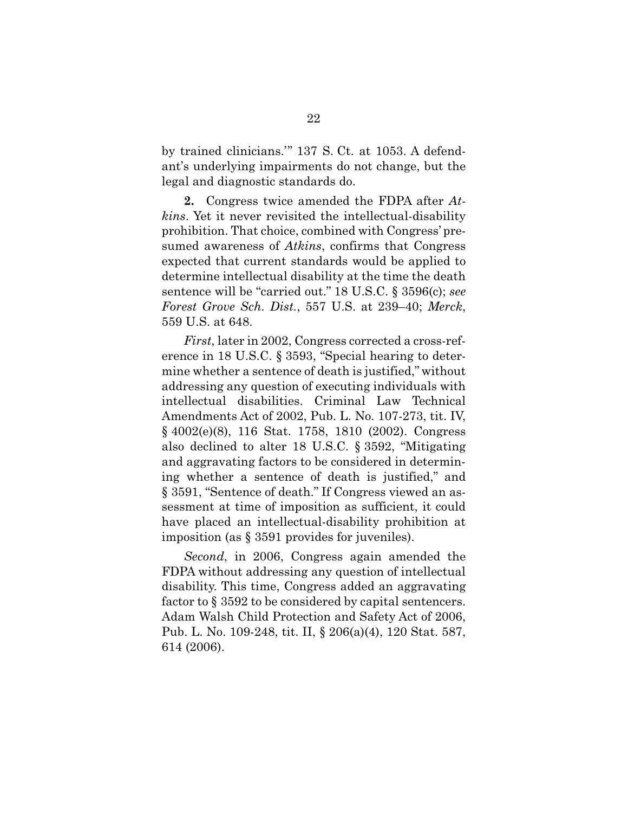by trained clinicians.'" 137 S. Ct. at 1053. A defendant's underlying impairments do not change, but the legal and diagnostic standards do.

**2.** Congress twice amended the FDPA after *Atkins*. Yet it never revisited the intellectual-disability prohibition. That choice, combined with Congress' presumed awareness of *Atkins*, confirms that Congress expected that current standards would be applied to determine intellectual disability at the time the death sentence will be "carried out." 18 U.S.C. § 3596(c); *see Forest Grove Sch. Dist.*, 557 U.S. at 239–40; *Merck*, 559 U.S. at 648.

*First*, later in 2002, Congress corrected a cross-reference in 18 U.S.C. § 3593, "Special hearing to determine whether a sentence of death is justified," without addressing any question of executing individuals with intellectual disabilities. Criminal Law Technical Amendments Act of 2002, Pub. L. No. 107-273, tit. IV, § 4002(e)(8), 116 Stat. 1758, 1810 (2002). Congress also declined to alter 18 U.S.C. § 3592, "Mitigating and aggravating factors to be considered in determining whether a sentence of death is justified," and § 3591, "Sentence of death." If Congress viewed an assessment at time of imposition as sufficient, it could have placed an intellectual-disability prohibition at imposition (as § 3591 provides for juveniles).

*Second*, in 2006, Congress again amended the FDPA without addressing any question of intellectual disability. This time, Congress added an aggravating factor to § 3592 to be considered by capital sentencers. Adam Walsh Child Protection and Safety Act of 2006, Pub. L. No. 109-248, tit. II, § 206(a)(4), 120 Stat. 587, 614 (2006).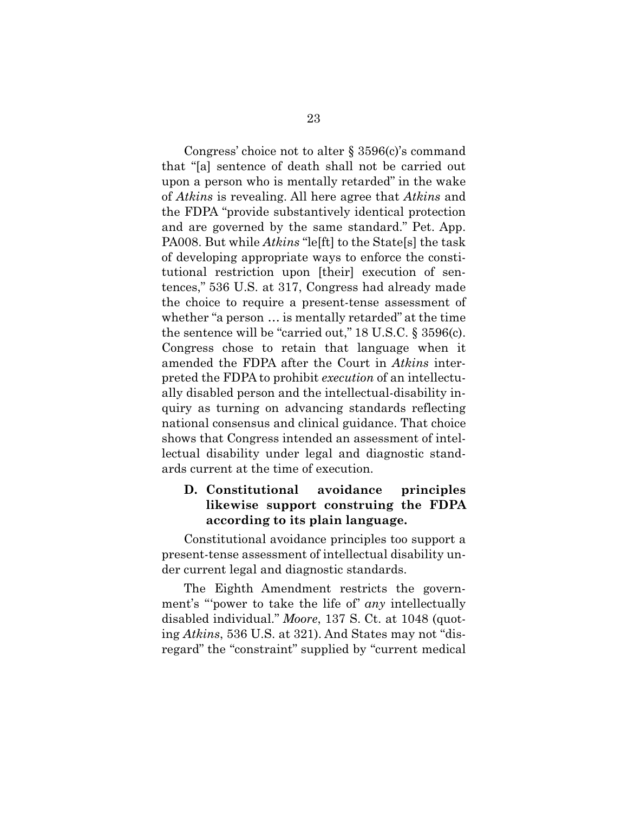Congress' choice not to alter § 3596(c)'s command that "[a] sentence of death shall not be carried out upon a person who is mentally retarded" in the wake of *Atkins* is revealing. All here agree that *Atkins* and the FDPA "provide substantively identical protection and are governed by the same standard." Pet. App. PA008. But while *Atkins* "le[ft] to the State[s] the task of developing appropriate ways to enforce the constitutional restriction upon [their] execution of sentences," 536 U.S. at 317, Congress had already made the choice to require a present-tense assessment of whether "a person … is mentally retarded" at the time the sentence will be "carried out," 18 U.S.C. § 3596(c). Congress chose to retain that language when it amended the FDPA after the Court in *Atkins* interpreted the FDPA to prohibit *execution* of an intellectually disabled person and the intellectual-disability inquiry as turning on advancing standards reflecting national consensus and clinical guidance. That choice shows that Congress intended an assessment of intellectual disability under legal and diagnostic standards current at the time of execution.

#### **D. Constitutional avoidance principles likewise support construing the FDPA according to its plain language.**

Constitutional avoidance principles too support a present-tense assessment of intellectual disability under current legal and diagnostic standards.

The Eighth Amendment restricts the government's "'power to take the life of' *any* intellectually disabled individual." *Moore*, 137 S. Ct. at 1048 (quoting *Atkins*, 536 U.S. at 321). And States may not "disregard" the "constraint" supplied by "current medical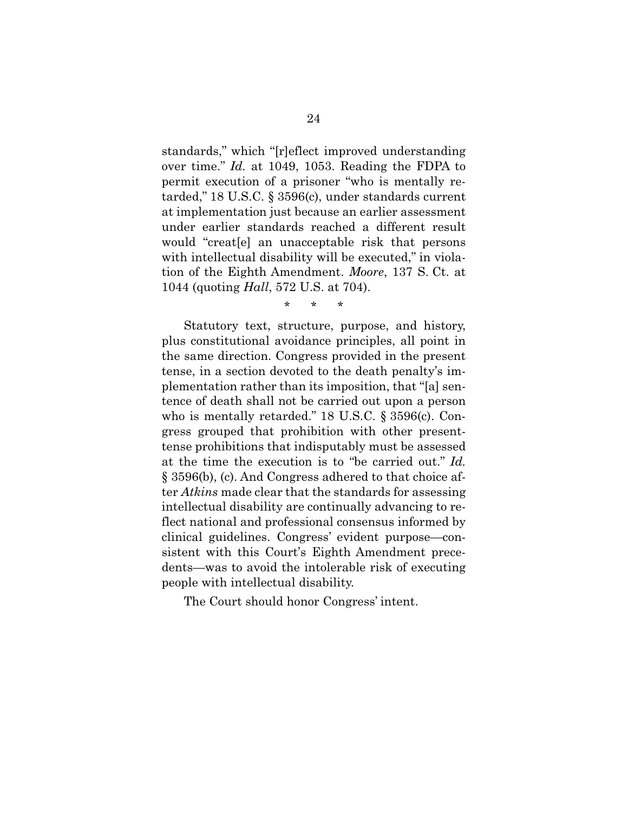standards," which "[r]eflect improved understanding over time." *Id.* at 1049, 1053. Reading the FDPA to permit execution of a prisoner "who is mentally retarded," 18 U.S.C. § 3596(c), under standards current at implementation just because an earlier assessment under earlier standards reached a different result would "creat[e] an unacceptable risk that persons with intellectual disability will be executed," in violation of the Eighth Amendment. *Moore*, 137 S. Ct. at 1044 (quoting *Hall*, 572 U.S. at 704).

\* \* \*

Statutory text, structure, purpose, and history, plus constitutional avoidance principles, all point in the same direction. Congress provided in the present tense, in a section devoted to the death penalty's implementation rather than its imposition, that "[a] sentence of death shall not be carried out upon a person who is mentally retarded." 18 U.S.C. § 3596(c). Congress grouped that prohibition with other presenttense prohibitions that indisputably must be assessed at the time the execution is to "be carried out." *Id.* § 3596(b), (c). And Congress adhered to that choice after *Atkins* made clear that the standards for assessing intellectual disability are continually advancing to reflect national and professional consensus informed by clinical guidelines. Congress' evident purpose—consistent with this Court's Eighth Amendment precedents—was to avoid the intolerable risk of executing people with intellectual disability.

The Court should honor Congress' intent.